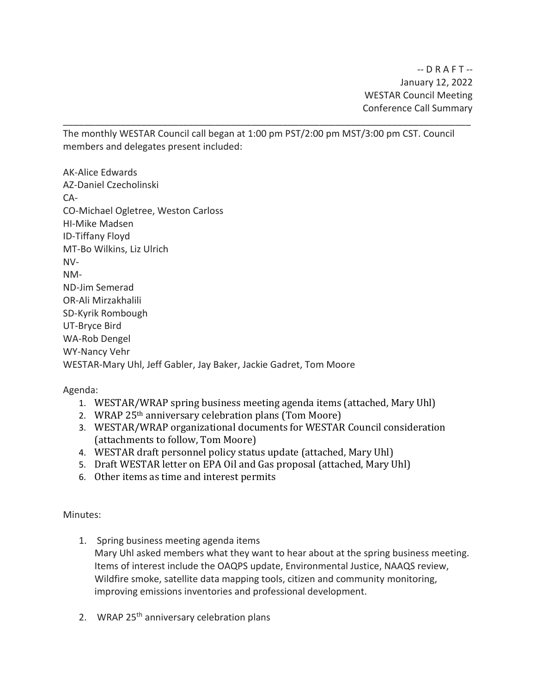The monthly WESTAR Council call began at 1:00 pm PST/2:00 pm MST/3:00 pm CST. Council members and delegates present included:

\_\_\_\_\_\_\_\_\_\_\_\_\_\_\_\_\_\_\_\_\_\_\_\_\_\_\_\_\_\_\_\_\_\_\_\_\_\_\_\_\_\_\_\_\_\_\_\_\_\_\_\_\_\_\_\_\_\_\_\_\_\_\_\_\_\_\_\_\_\_\_\_\_\_\_\_\_\_

AK-Alice Edwards AZ-Daniel Czecholinski CA-CO-Michael Ogletree, Weston Carloss HI-Mike Madsen ID-Tiffany Floyd MT-Bo Wilkins, Liz Ulrich NV-NM-ND-Jim Semerad OR-Ali Mirzakhalili SD-Kyrik Rombough UT-Bryce Bird WA-Rob Dengel WY-Nancy Vehr WESTAR-Mary Uhl, Jeff Gabler, Jay Baker, Jackie Gadret, Tom Moore

Agenda:

- 1. WESTAR/WRAP spring business meeting agenda items (attached, Mary Uhl)
- 2. WRAP 25th anniversary celebration plans (Tom Moore)
- 3. WESTAR/WRAP organizational documents for WESTAR Council consideration (attachments to follow, Tom Moore)
- 4. WESTAR draft personnel policy status update (attached, Mary Uhl)
- 5. Draft WESTAR letter on EPA Oil and Gas proposal (attached, Mary Uhl)
- 6. Other items as time and interest permits

Minutes:

- 1. Spring business meeting agenda items Mary Uhl asked members what they want to hear about at the spring business meeting. Items of interest include the OAQPS update, Environmental Justice, NAAQS review, Wildfire smoke, satellite data mapping tools, citizen and community monitoring, improving emissions inventories and professional development.
- 2. WRAP 25<sup>th</sup> anniversary celebration plans